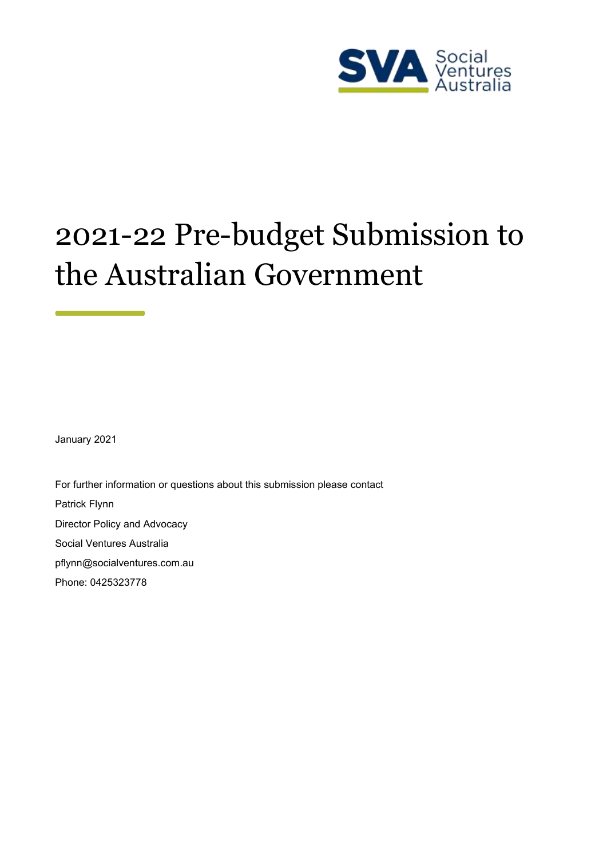

# 2021-22 Pre-budget Submission to the Australian Government

January 2021

For further information or questions about this submission please contact Patrick Flynn Director Policy and Advocacy Social Ventures Australia [pflynn@socialventures.com.au](mailto:pflynn@socialventures.com.au) Phone: 0425323778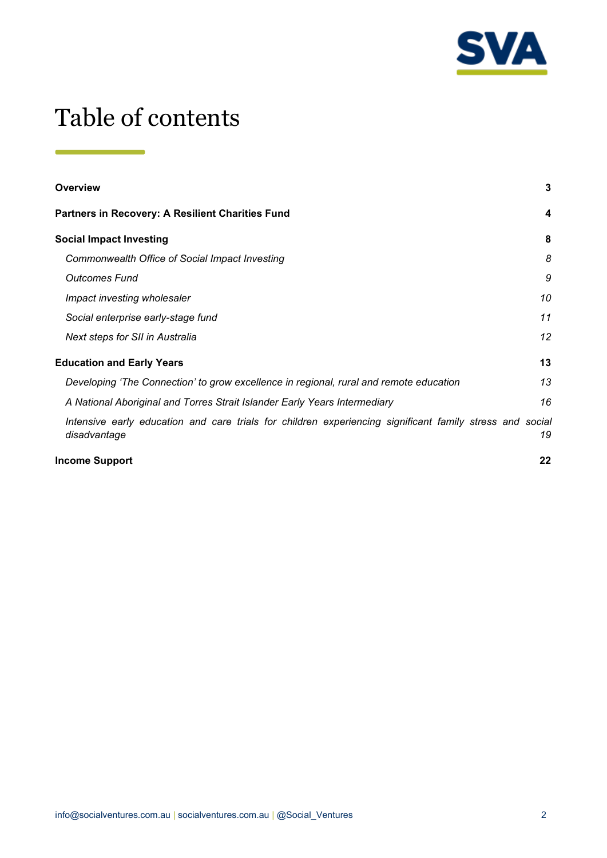

## Table of contents

| Overview                                                                                                                 | 3  |
|--------------------------------------------------------------------------------------------------------------------------|----|
| <b>Partners in Recovery: A Resilient Charities Fund</b>                                                                  | 4  |
| <b>Social Impact Investing</b>                                                                                           | 8  |
| Commonwealth Office of Social Impact Investing                                                                           | 8  |
| <b>Outcomes Fund</b>                                                                                                     | 9  |
| Impact investing wholesaler                                                                                              | 10 |
| Social enterprise early-stage fund                                                                                       | 11 |
| Next steps for SII in Australia                                                                                          | 12 |
| <b>Education and Early Years</b>                                                                                         | 13 |
| Developing 'The Connection' to grow excellence in regional, rural and remote education                                   | 13 |
| A National Aboriginal and Torres Strait Islander Early Years Intermediary                                                | 16 |
| Intensive early education and care trials for children experiencing significant family stress and social<br>disadvantage | 19 |
| <b>Income Support</b>                                                                                                    | 22 |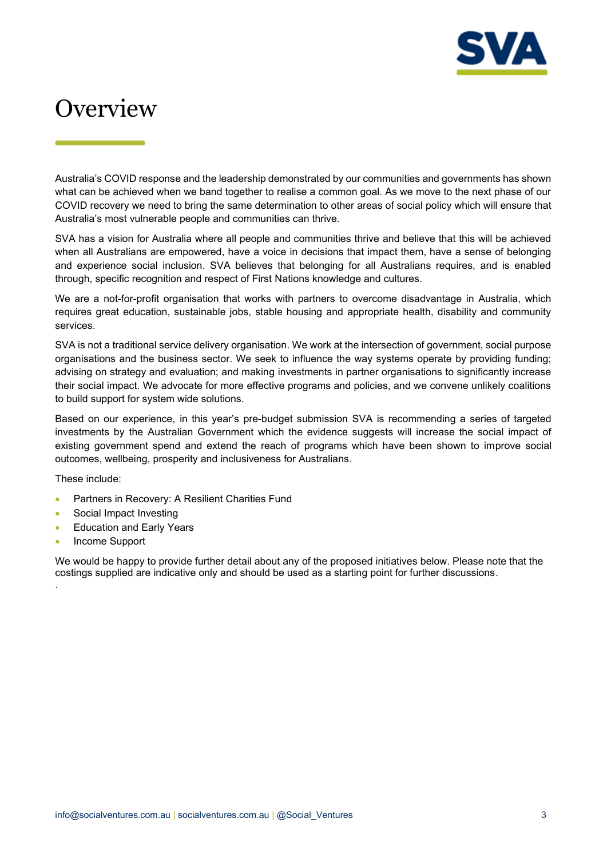

## <span id="page-2-0"></span>**Overview**

Australia's COVID response and the leadership demonstrated by our communities and governments has shown what can be achieved when we band together to realise a common goal. As we move to the next phase of our COVID recovery we need to bring the same determination to other areas of social policy which will ensure that Australia's most vulnerable people and communities can thrive.

SVA has a vision for Australia where all people and communities thrive and believe that this will be achieved when all Australians are empowered, have a voice in decisions that impact them, have a sense of belonging and experience social inclusion. SVA believes that belonging for all Australians requires, and is enabled through, specific recognition and respect of First Nations knowledge and cultures.

We are a not-for-profit organisation that works with partners to overcome disadvantage in Australia, which requires great education, sustainable jobs, stable housing and appropriate health, disability and community services.

SVA is not a traditional service delivery organisation. We work at the intersection of government, social purpose organisations and the business sector. We seek to influence the way systems operate by providing funding; advising on strategy and evaluation; and making investments in partner organisations to significantly increase their social impact. We advocate for more effective programs and policies, and we convene unlikely coalitions to build support for system wide solutions.

Based on our experience, in this year's pre-budget submission SVA is recommending a series of targeted investments by the Australian Government which the evidence suggests will increase the social impact of existing government spend and extend the reach of programs which have been shown to improve social outcomes, wellbeing, prosperity and inclusiveness for Australians.

These include:

- Partners in Recovery: A Resilient Charities Fund
- Social Impact Investing
- Education and Early Years
- Income Support

.

We would be happy to provide further detail about any of the proposed initiatives below. Please note that the costings supplied are indicative only and should be used as a starting point for further discussions.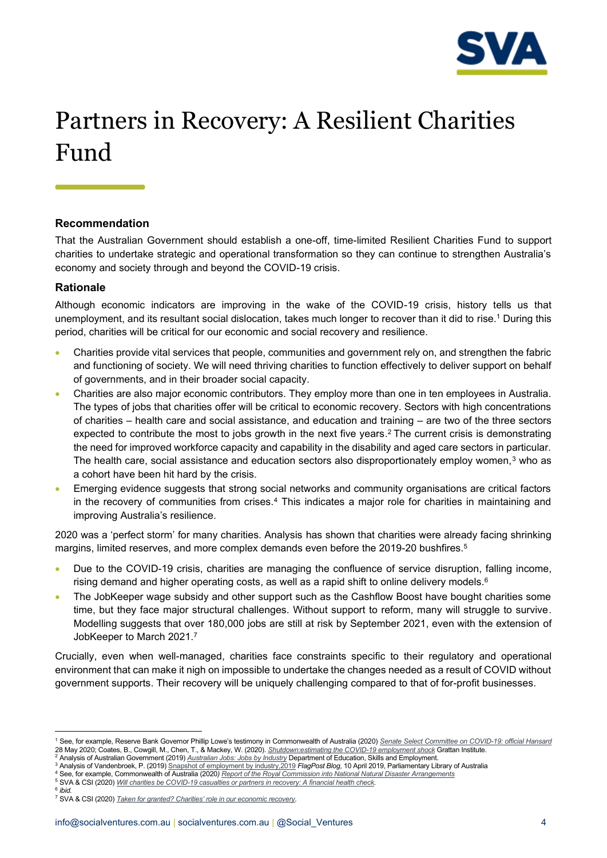

## <span id="page-3-0"></span>Partners in Recovery: A Resilient Charities Fund

#### **Recommendation**

That the Australian Government should establish a one-off, time-limited Resilient Charities Fund to support charities to undertake strategic and operational transformation so they can continue to strengthen Australia's economy and society through and beyond the COVID-19 crisis.

#### **Rationale**

Although economic indicators are improving in the wake of the COVID-19 crisis, history tells us that unemployment, and its resultant social dislocation, takes much longer to recover than it did to rise. <sup>1</sup> During this period, charities will be critical for our economic and social recovery and resilience.

- Charities provide vital services that people, communities and government rely on, and strengthen the fabric and functioning of society. We will need thriving charities to function effectively to deliver support on behalf of governments, and in their broader social capacity.
- Charities are also major economic contributors. They employ more than one in ten employees in Australia. The types of jobs that charities offer will be critical to economic recovery. Sectors with high concentrations of charities – health care and social assistance, and education and training – are two of the three sectors expected to contribute the most to jobs growth in the next five years.<sup>2</sup> The current crisis is demonstrating the need for improved workforce capacity and capability in the disability and aged care sectors in particular. The health care, social assistance and education sectors also disproportionately employ women,<sup>3</sup> who as a cohort have been hit hard by the crisis.
- Emerging evidence suggests that strong social networks and community organisations are critical factors in the recovery of communities from crises.<sup>4</sup> This indicates a major role for charities in maintaining and improving Australia's resilience.

2020 was a 'perfect storm' for many charities. Analysis has shown that charities were already facing shrinking margins, limited reserves, and more complex demands even before the 2019-20 bushfires.<sup>5</sup>

- Due to the COVID-19 crisis, charities are managing the confluence of service disruption, falling income, rising demand and higher operating costs, as well as a rapid shift to online delivery models. $^{\rm 6}$
- The JobKeeper wage subsidy and other support such as the Cashflow Boost have bought charities some time, but they face major structural challenges. Without support to reform, many will struggle to survive. Modelling suggests that over 180,000 jobs are still at risk by September 2021, even with the extension of JobKeeper to March 2021.<sup>7</sup>

Crucially, even when well-managed, charities face constraints specific to their regulatory and operational environment that can make it nigh on impossible to undertake the changes needed as a result of COVID without government supports. Their recovery will be uniquely challenging compared to that of for-profit businesses.

- <sup>3</sup> Analysis of Vandenbroek, P. (2019[\) Snapshot of employment by industry,2019](https://www.aph.gov.au/About_Parliament/Parliamentary_Departments/Parliamentary_Library/FlagPost/2019/April/Employment-by-industry-2019) *FlagPost Blog*, 10 April 2019, Parliamentary Library of Australia
- <sup>4</sup> See, for example, Commonwealth of Australia (2020*[\) Report of the Royal Commission into National Natural Disaster Arrangements](https://naturaldisaster.royalcommission.gov.au/publications/royal-commission-national-natural-disaster-arrangements-report)*
- <sup>5</sup> SVA & CSI (2020) *[Will charities be COVID-19 casualties or partners in recovery: A financial health check.](https://www.socialventures.com.au/work/charities-covid-19-financial-health-check/)*

<sup>1</sup> See, for example, Reserve Bank Governor Phillip Lowe's testimony in Commonwealth of Australia (2020) *Senate Select [Committee on COVID-19: official Hansard](https://parlinfo.aph.gov.au/parlInfo/search/display/display.w3p;query=Id%3A%22committees%2Fcommsen%2Fa3af0917-dc51-4d01-a86f-69153eb93040%2F0001%22)* 28 May 2020; Coates, B., Cowgill, M., Chen, T., & Mackey, W. (2020). <u>[Shutdown:estimating the COVID-19 employment shock](https://grattan.edu.au/report/shutdown-estimating-the-covid-19-employment-shock/)</u> Grattan Institute.<br><sup>2</sup> Analysis of Australian Government (2019) <u>[Australian Jobs: Jobs by Industry](https://australianjobs.employment.gov.au/jobs-industry/industry-overview)</u> D

<sup>6</sup> *ibid.*

<sup>7</sup> SVA & CSI (2020) *[Taken for granted? Charities' role in our economic recovery](https://www.socialventures.com.au/work/taken-for-granted-charities-role-in-our-economic-recovery/).*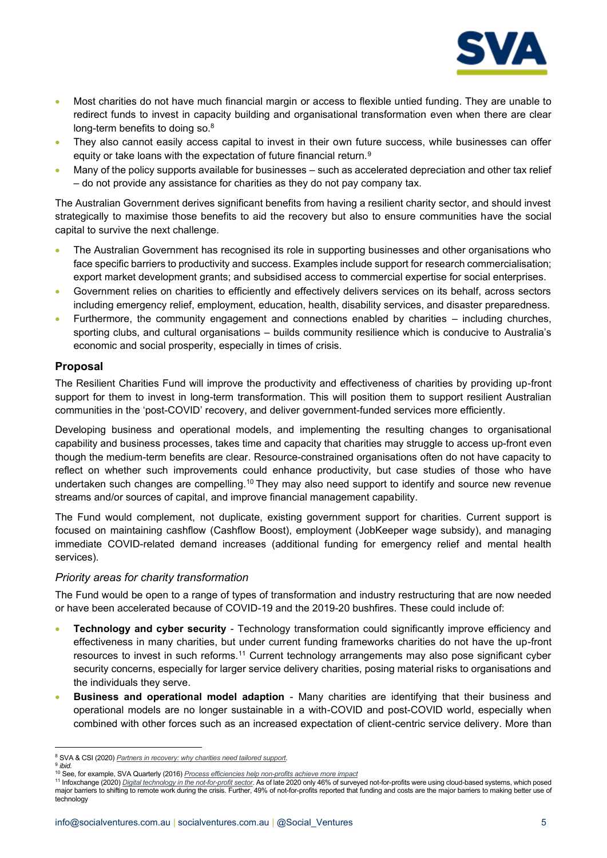

- Most charities do not have much financial margin or access to flexible untied funding. They are unable to redirect funds to invest in capacity building and organisational transformation even when there are clear long-term benefits to doing so.<sup>8</sup>
- They also cannot easily access capital to invest in their own future success, while businesses can offer equity or take loans with the expectation of future financial return.<sup>9</sup>
- Many of the policy supports available for businesses such as accelerated depreciation and other tax relief – do not provide any assistance for charities as they do not pay company tax.

The Australian Government derives significant benefits from having a resilient charity sector, and should invest strategically to maximise those benefits to aid the recovery but also to ensure communities have the social capital to survive the next challenge.

- The Australian Government has recognised its role in supporting businesses and other organisations who face specific barriers to productivity and success. Examples include support for research commercialisation; export market development grants; and subsidised access to commercial expertise for social enterprises.
- Government relies on charities to efficiently and effectively delivers services on its behalf, across sectors including emergency relief, employment, education, health, disability services, and disaster preparedness.
- Furthermore, the community engagement and connections enabled by charities including churches, sporting clubs, and cultural organisations – builds community resilience which is conducive to Australia's economic and social prosperity, especially in times of crisis.

#### **Proposal**

The Resilient Charities Fund will improve the productivity and effectiveness of charities by providing up-front support for them to invest in long-term transformation. This will position them to support resilient Australian communities in the 'post-COVID' recovery, and deliver government-funded services more efficiently.

Developing business and operational models, and implementing the resulting changes to organisational capability and business processes, takes time and capacity that charities may struggle to access up-front even though the medium-term benefits are clear. Resource-constrained organisations often do not have capacity to reflect on whether such improvements could enhance productivity, but case studies of those who have undertaken such changes are compelling.<sup>10</sup> They may also need support to identify and source new revenue streams and/or sources of capital, and improve financial management capability.

The Fund would complement, not duplicate, existing government support for charities. Current support is focused on maintaining cashflow (Cashflow Boost), employment (JobKeeper wage subsidy), and managing immediate COVID-related demand increases (additional funding for emergency relief and mental health services).

#### *Priority areas for charity transformation*

The Fund would be open to a range of types of transformation and industry restructuring that are now needed or have been accelerated because of COVID-19 and the 2019-20 bushfires. These could include of:

- **Technology and cyber security** Technology transformation could significantly improve efficiency and effectiveness in many charities, but under current funding frameworks charities do not have the up-front resources to invest in such reforms.<sup>11</sup> Current technology arrangements may also pose significant cyber security concerns, especially for larger service delivery charities, posing material risks to organisations and the individuals they serve.
- **Business and operational model adaption** Many charities are identifying that their business and operational models are no longer sustainable in a with-COVID and post-COVID world, especially when combined with other forces such as an increased expectation of client-centric service delivery. More than

<sup>8</sup> SVA & CSI (2020) *[Partners in recovery: why charities need tailored support.](https://www.socialventures.com.au/work/covid-19-policy-snapshot-why-charities-need-tailored-support/)*

<sup>9</sup> *ibid.*

<sup>10</sup> See, for example, SVA Quarterly (2016) *[Process efficiencies help non-profits achieve more impact](https://www.socialventures.com.au/sva-quarterly/process-efficiencies-help-non-profits-achieve-more-impact/)*

<sup>&</sup>lt;sup>11</sup> Infoxchange (2020) *[Digital technology in the not-for-profit sector.](https://www.infoxchange.org/sites/default/files/digital_technology_in_the_not-for-profit_sector_2020.pdf)* As of late 2020 only 46% of surveyed not-for-profits were using cloud-based systems, which posed major barriers to shifting to remote work during the crisis. Further, 49% of not-for-profits reported that funding and costs are the major barriers to making better use of technology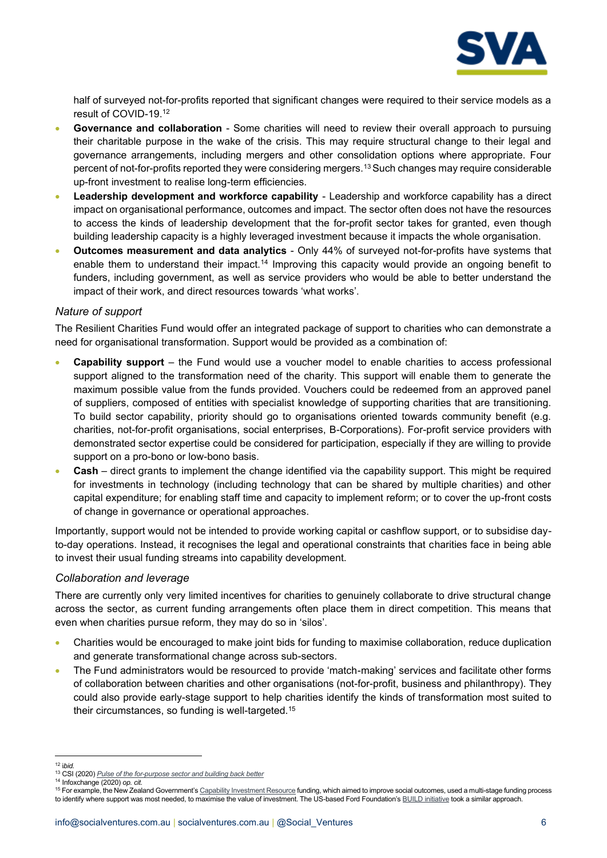

half of surveyed not-for-profits reported that significant changes were required to their service models as a result of COVID-19.<sup>12</sup>

- **Governance and collaboration** Some charities will need to review their overall approach to pursuing their charitable purpose in the wake of the crisis. This may require structural change to their legal and governance arrangements, including mergers and other consolidation options where appropriate. Four percent of not-for-profits reported they were considering mergers.<sup>13</sup>Such changes may require considerable up-front investment to realise long-term efficiencies.
- **Leadership development and workforce capability** Leadership and workforce capability has a direct impact on organisational performance, outcomes and impact. The sector often does not have the resources to access the kinds of leadership development that the for-profit sector takes for granted, even though building leadership capacity is a highly leveraged investment because it impacts the whole organisation.
- **Outcomes measurement and data analytics**  Only 44% of surveyed not-for-profits have systems that enable them to understand their impact.<sup>14</sup> Improving this capacity would provide an ongoing benefit to funders, including government, as well as service providers who would be able to better understand the impact of their work, and direct resources towards 'what works'.

#### *Nature of support*

The Resilient Charities Fund would offer an integrated package of support to charities who can demonstrate a need for organisational transformation. Support would be provided as a combination of:

- **Capability support** the Fund would use a voucher model to enable charities to access professional support aligned to the transformation need of the charity. This support will enable them to generate the maximum possible value from the funds provided. Vouchers could be redeemed from an approved panel of suppliers, composed of entities with specialist knowledge of supporting charities that are transitioning. To build sector capability, priority should go to organisations oriented towards community benefit (e.g. charities, not-for-profit organisations, social enterprises, B-Corporations). For-profit service providers with demonstrated sector expertise could be considered for participation, especially if they are willing to provide support on a pro-bono or low-bono basis.
- **Cash**  direct grants to implement the change identified via the capability support. This might be required for investments in technology (including technology that can be shared by multiple charities) and other capital expenditure; for enabling staff time and capacity to implement reform; or to cover the up-front costs of change in governance or operational approaches.

Importantly, support would not be intended to provide working capital or cashflow support, or to subsidise dayto-day operations. Instead, it recognises the legal and operational constraints that charities face in being able to invest their usual funding streams into capability development.

#### *Collaboration and leverage*

There are currently only very limited incentives for charities to genuinely collaborate to drive structural change across the sector, as current funding arrangements often place them in direct competition. This means that even when charities pursue reform, they may do so in 'silos'.

- Charities would be encouraged to make joint bids for funding to maximise collaboration, reduce duplication and generate transformational change across sub-sectors.
- The Fund administrators would be resourced to provide 'match-making' services and facilitate other forms of collaboration between charities and other organisations (not-for-profit, business and philanthropy). They could also provide early-stage support to help charities identify the kinds of transformation most suited to their circumstances, so funding is well-targeted.<sup>15</sup>

<sup>12</sup> i*bid.*

<sup>13</sup> CSI (2020) *[Pulse of the for-purpose sector and building back better](https://www.csi.edu.au/media/Pulse_-_Final_Report_Wave_1_-_PDF.pdf)* <sup>14</sup> Infoxchange (2020) *op. cit.*

<sup>&</sup>lt;sup>15</sup> For example, the New Zealand Government's [Capability Investment Resource](https://www.communitywaikato.org.nz/site/socialservices/files/capability%20mentoring/capability%20Investment%20Resource%20overview.pdf) funding, which aimed to improve social outcomes, used a multi-stage funding process to identify where support was most needed, to maximise the value of investment. The US-based Ford Foundation's [BUILD initiative](https://www.fordfoundation.org/work/our-grants/building-institutions-and-networks/) took a similar approach.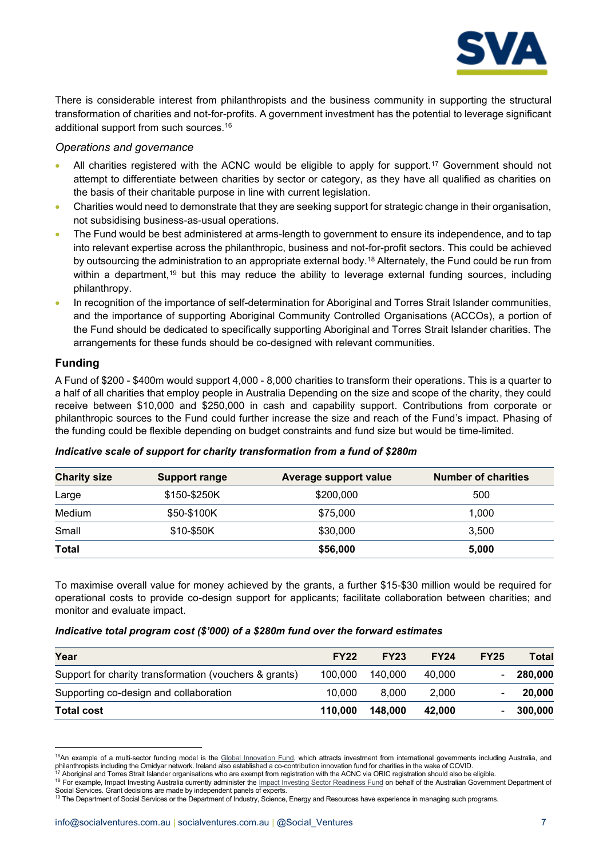

There is considerable interest from philanthropists and the business community in supporting the structural transformation of charities and not-for-profits. A government investment has the potential to leverage significant additional support from such sources.<sup>16</sup>

#### *Operations and governance*

- All charities registered with the ACNC would be eligible to apply for support.<sup>17</sup> Government should not attempt to differentiate between charities by sector or category, as they have all qualified as charities on the basis of their charitable purpose in line with current legislation.
- Charities would need to demonstrate that they are seeking support for strategic change in their organisation, not subsidising business-as-usual operations.
- The Fund would be best administered at arms-length to government to ensure its independence, and to tap into relevant expertise across the philanthropic, business and not-for-profit sectors. This could be achieved by outsourcing the administration to an appropriate external body.<sup>18</sup> Alternately, the Fund could be run from within a department,<sup>19</sup> but this may reduce the ability to leverage external funding sources, including philanthropy.
- In recognition of the importance of self-determination for Aboriginal and Torres Strait Islander communities, and the importance of supporting Aboriginal Community Controlled Organisations (ACCOs), a portion of the Fund should be dedicated to specifically supporting Aboriginal and Torres Strait Islander charities. The arrangements for these funds should be co-designed with relevant communities.

#### **Funding**

A Fund of \$200 - \$400m would support 4,000 - 8,000 charities to transform their operations. This is a quarter to a half of all charities that employ people in Australia Depending on the size and scope of the charity, they could receive between \$10,000 and \$250,000 in cash and capability support. Contributions from corporate or philanthropic sources to the Fund could further increase the size and reach of the Fund's impact. Phasing of the funding could be flexible depending on budget constraints and fund size but would be time-limited.

| <b>Charity size</b> | <b>Support range</b> | <b>Average support value</b> | <b>Number of charities</b> |
|---------------------|----------------------|------------------------------|----------------------------|
| Large               | \$150-\$250K         | \$200,000                    | 500                        |
| Medium              | \$50-\$100K          | \$75,000                     | 1,000                      |
| Small               | \$10-\$50K           | \$30,000                     | 3,500                      |
| <b>Total</b>        |                      | \$56,000                     | 5,000                      |

#### *Indicative scale of support for charity transformation from a fund of \$280m*

To maximise overall value for money achieved by the grants, a further \$15-\$30 million would be required for operational costs to provide co-design support for applicants; facilitate collaboration between charities; and monitor and evaluate impact.

#### *Indicative total program cost (\$'000) of a \$280m fund over the forward estimates*

| Year                                                   | <b>FY22</b> | <b>FY23</b> | <b>FY24</b> | <b>FY25</b> | <b>Total</b> |
|--------------------------------------------------------|-------------|-------------|-------------|-------------|--------------|
| Support for charity transformation (vouchers & grants) | 100,000     | 140.000     | 40.000      |             | 280,000      |
| Supporting co-design and collaboration                 | 10.000      | 8.000       | 2.000       |             | 20,000       |
| <b>Total cost</b>                                      | 110.000     | 148,000     | 42.000      |             | $-300,000$   |

<sup>&</sup>lt;sup>16</sup>An example of a multi-sector funding model is the [Global Innovation Fund,](https://www.globalinnovation.fund/) which attracts investment from international governments including Australia, and philanthropists including the Omidyar network. Ireland also established a co-contribution innovation fund for charities in the wake of COVID.

<sup>.&</sup>lt;br>Aboriginal and Torres Strait Islander organisations who are exempt from registration with the ACNC via ORIC registration should also be eligible.

<sup>18</sup> For example, Impact Investing Australia currently administer the **Impact Investing Sector Readiness Fund** on behalf of the Australian Government Department of Social Services. Grant decisions are made by independent panels of experts.

<sup>19</sup> The Department of Social Services or the Department of Industry, Science, Energy and Resources have experience in managing such programs.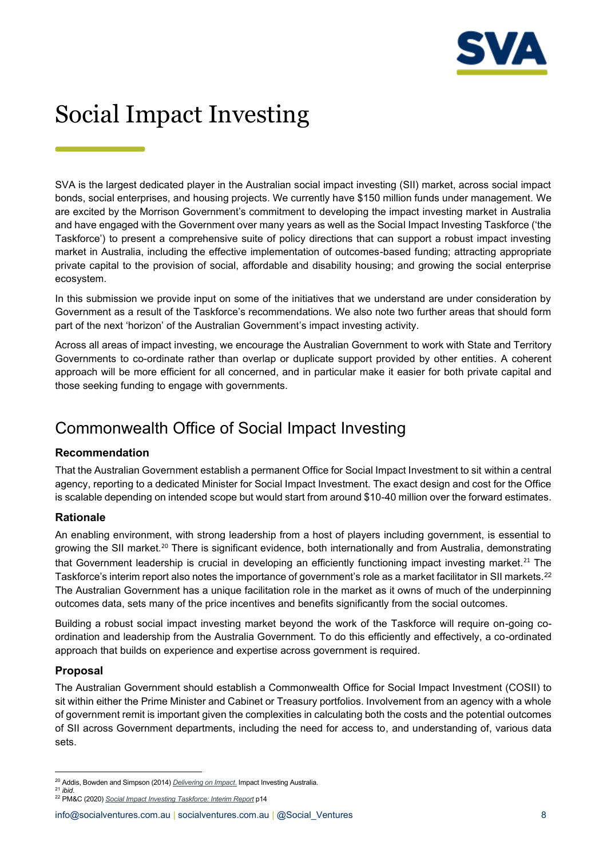

## <span id="page-7-0"></span>Social Impact Investing

SVA is the largest dedicated player in the Australian social impact investing (SII) market, across social impact bonds, social enterprises, and housing projects. We currently have \$150 million funds under management. We are excited by the Morrison Government's commitment to developing the impact investing market in Australia and have engaged with the Government over many years as well as the Social Impact Investing Taskforce ('the Taskforce') to present a comprehensive suite of policy directions that can support a robust impact investing market in Australia, including the effective implementation of outcomes-based funding; attracting appropriate private capital to the provision of social, affordable and disability housing; and growing the social enterprise ecosystem.

In this submission we provide input on some of the initiatives that we understand are under consideration by Government as a result of the Taskforce's recommendations. We also note two further areas that should form part of the next 'horizon' of the Australian Government's impact investing activity.

Across all areas of impact investing, we encourage the Australian Government to work with State and Territory Governments to co-ordinate rather than overlap or duplicate support provided by other entities. A coherent approach will be more efficient for all concerned, and in particular make it easier for both private capital and those seeking funding to engage with governments.

### <span id="page-7-1"></span>Commonwealth Office of Social Impact Investing

#### **Recommendation**

That the Australian Government establish a permanent Office for Social Impact Investment to sit within a central agency, reporting to a dedicated Minister for Social Impact Investment. The exact design and cost for the Office is scalable depending on intended scope but would start from around \$10-40 million over the forward estimates.

#### **Rationale**

An enabling environment, with strong leadership from a host of players including government, is essential to growing the SII market.<sup>20</sup> There is significant evidence, both internationally and from Australia, demonstrating that Government leadership is crucial in developing an efficiently functioning impact investing market.<sup>21</sup> The Taskforce's interim report also notes the importance of government's role as a market facilitator in SII markets.<sup>22</sup> The Australian Government has a unique facilitation role in the market as it owns of much of the underpinning outcomes data, sets many of the price incentives and benefits significantly from the social outcomes.

Building a robust social impact investing market beyond the work of the Taskforce will require on-going coordination and leadership from the Australia Government. To do this efficiently and effectively, a co-ordinated approach that builds on experience and expertise across government is required.

#### **Proposal**

The Australian Government should establish a Commonwealth Office for Social Impact Investment (COSII) to sit within either the Prime Minister and Cabinet or Treasury portfolios. Involvement from an agency with a whole of government remit is important given the complexities in calculating both the costs and the potential outcomes of SII across Government departments, including the need for access to, and understanding of, various data sets.

<sup>20</sup> Addis, Bowden and Simpson (2014) *[Delivering on Impact](http://gsgii.org/reports/delivering-on-impact/)*. Impact Investing Australia. <sup>21</sup> *ibid*.

<sup>22</sup> PM&C (2020) *[Social Impact Investing Taskforce: Interim Report](https://www.pmc.gov.au/sites/default/files/publications/social-impact-investing-taskforce-interim-report.pdf)* p14

[info@socialventures.com.au](mailto:info@socialventures.com.au) | socialventures.com.au | @Social Ventures 8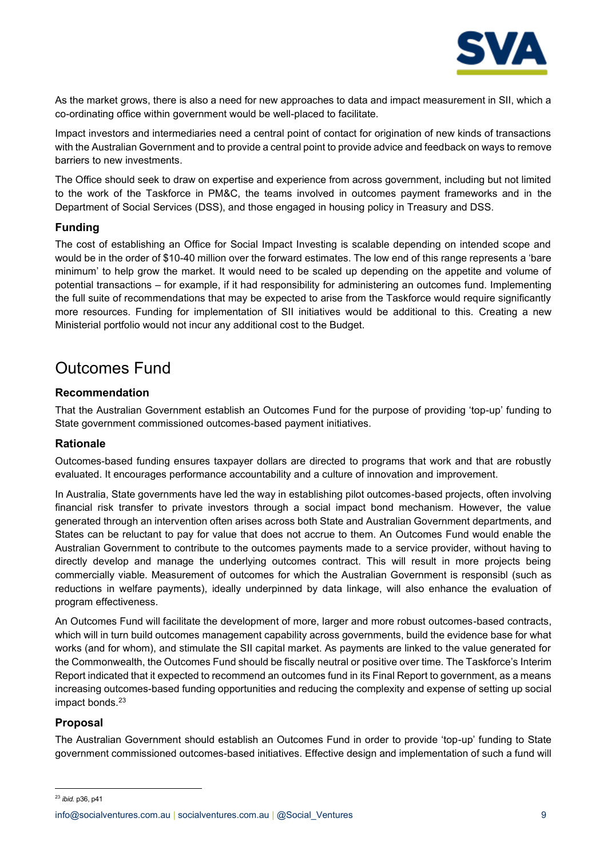

As the market grows, there is also a need for new approaches to data and impact measurement in SII, which a co-ordinating office within government would be well-placed to facilitate.

Impact investors and intermediaries need a central point of contact for origination of new kinds of transactions with the Australian Government and to provide a central point to provide advice and feedback on ways to remove barriers to new investments.

The Office should seek to draw on expertise and experience from across government, including but not limited to the work of the Taskforce in PM&C, the teams involved in outcomes payment frameworks and in the Department of Social Services (DSS), and those engaged in housing policy in Treasury and DSS.

#### **Funding**

The cost of establishing an Office for Social Impact Investing is scalable depending on intended scope and would be in the order of \$10-40 million over the forward estimates. The low end of this range represents a 'bare minimum' to help grow the market. It would need to be scaled up depending on the appetite and volume of potential transactions – for example, if it had responsibility for administering an outcomes fund. Implementing the full suite of recommendations that may be expected to arise from the Taskforce would require significantly more resources. Funding for implementation of SII initiatives would be additional to this. Creating a new Ministerial portfolio would not incur any additional cost to the Budget.

### <span id="page-8-0"></span>Outcomes Fund

#### **Recommendation**

That the Australian Government establish an Outcomes Fund for the purpose of providing 'top-up' funding to State government commissioned outcomes-based payment initiatives.

#### **Rationale**

Outcomes-based funding ensures taxpayer dollars are directed to programs that work and that are robustly evaluated. It encourages performance accountability and a culture of innovation and improvement.

In Australia, State governments have led the way in establishing pilot outcomes-based projects, often involving financial risk transfer to private investors through a social impact bond mechanism. However, the value generated through an intervention often arises across both State and Australian Government departments, and States can be reluctant to pay for value that does not accrue to them. An Outcomes Fund would enable the Australian Government to contribute to the outcomes payments made to a service provider, without having to directly develop and manage the underlying outcomes contract. This will result in more projects being commercially viable. Measurement of outcomes for which the Australian Government is responsibl (such as reductions in welfare payments), ideally underpinned by data linkage, will also enhance the evaluation of program effectiveness.

An Outcomes Fund will facilitate the development of more, larger and more robust outcomes-based contracts, which will in turn build outcomes management capability across governments, build the evidence base for what works (and for whom), and stimulate the SII capital market. As payments are linked to the value generated for the Commonwealth, the Outcomes Fund should be fiscally neutral or positive over time. The Taskforce's Interim Report indicated that it expected to recommend an outcomes fund in its Final Report to government, as a means increasing outcomes-based funding opportunities and reducing the complexity and expense of setting up social impact bonds.<sup>23</sup>

#### **Proposal**

The Australian Government should establish an Outcomes Fund in order to provide 'top-up' funding to State government commissioned outcomes-based initiatives. Effective design and implementation of such a fund will

<sup>23</sup> *ibid.* p36, p41

[info@socialventures.com.au](mailto:info@socialventures.com.au) | socialventures.com.au | @Social Ventures 9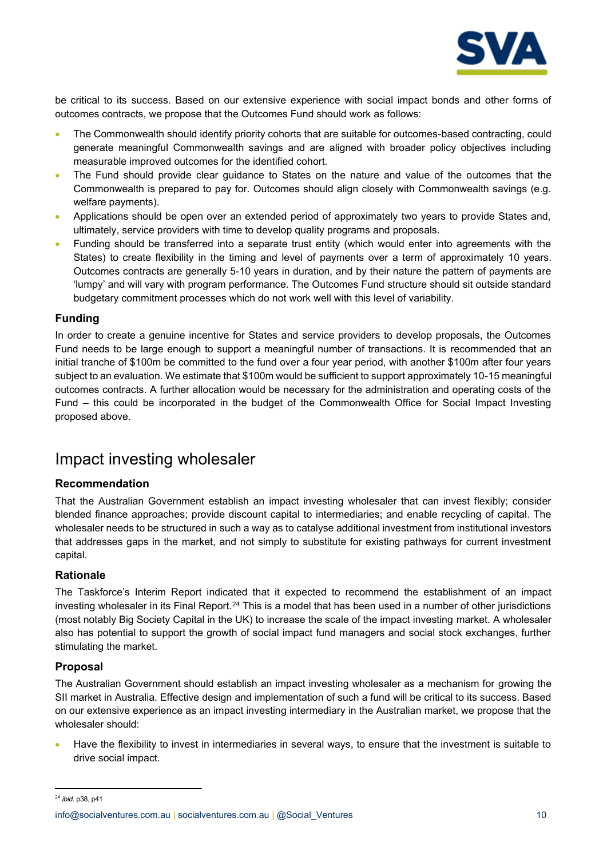

be critical to its success. Based on our extensive experience with social impact bonds and other forms of outcomes contracts, we propose that the Outcomes Fund should work as follows:

- The Commonwealth should identify priority cohorts that are suitable for outcomes-based contracting, could generate meaningful Commonwealth savings and are aligned with broader policy objectives including measurable improved outcomes for the identified cohort.
- The Fund should provide clear guidance to States on the nature and value of the outcomes that the Commonwealth is prepared to pay for. Outcomes should align closely with Commonwealth savings (e.g. welfare payments).
- Applications should be open over an extended period of approximately two years to provide States and, ultimately, service providers with time to develop quality programs and proposals.
- Funding should be transferred into a separate trust entity (which would enter into agreements with the States) to create flexibility in the timing and level of payments over a term of approximately 10 years. Outcomes contracts are generally 5-10 years in duration, and by their nature the pattern of payments are 'lumpy' and will vary with program performance. The Outcomes Fund structure should sit outside standard budgetary commitment processes which do not work well with this level of variability.

#### **Funding**

In order to create a genuine incentive for States and service providers to develop proposals, the Outcomes Fund needs to be large enough to support a meaningful number of transactions. It is recommended that an initial tranche of \$100m be committed to the fund over a four year period, with another \$100m after four years subject to an evaluation. We estimate that \$100m would be sufficient to support approximately 10-15 meaningful outcomes contracts. A further allocation would be necessary for the administration and operating costs of the Fund – this could be incorporated in the budget of the Commonwealth Office for Social Impact Investing proposed above.

### <span id="page-9-0"></span>Impact investing wholesaler

#### **Recommendation**

That the Australian Government establish an impact investing wholesaler that can invest flexibly; consider blended finance approaches; provide discount capital to intermediaries; and enable recycling of capital. The wholesaler needs to be structured in such a way as to catalyse additional investment from institutional investors that addresses gaps in the market, and not simply to substitute for existing pathways for current investment capital.

#### **Rationale**

The Taskforce's Interim Report indicated that it expected to recommend the establishment of an impact investing wholesaler in its Final Report.<sup>24</sup> This is a model that has been used in a number of other jurisdictions (most notably Big Society Capital in the UK) to increase the scale of the impact investing market. A wholesaler also has potential to support the growth of social impact fund managers and social stock exchanges, further stimulating the market.

#### **Proposal**

The Australian Government should establish an impact investing wholesaler as a mechanism for growing the SII market in Australia. Effective design and implementation of such a fund will be critical to its success. Based on our extensive experience as an impact investing intermediary in the Australian market, we propose that the wholesaler should:

• Have the flexibility to invest in intermediaries in several ways, to ensure that the investment is suitable to drive social impact.

<sup>24</sup> *ibid.* p38, p41

[info@socialventures.com.au](mailto:info@socialventures.com.au) | socialventures.com.au | @Social\_Ventures 10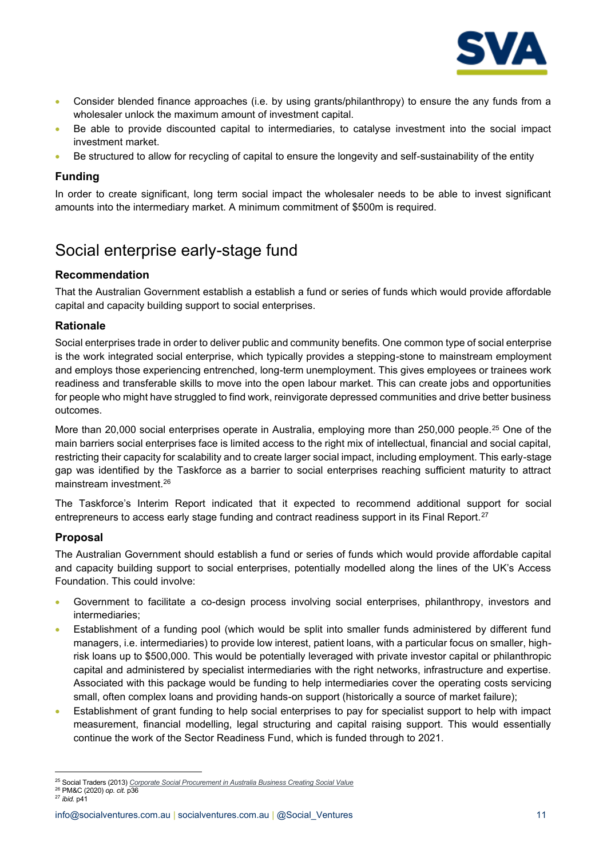

- Consider blended finance approaches (i.e. by using grants/philanthropy) to ensure the any funds from a wholesaler unlock the maximum amount of investment capital.
- Be able to provide discounted capital to intermediaries, to catalyse investment into the social impact investment market.
- Be structured to allow for recycling of capital to ensure the longevity and self-sustainability of the entity

#### **Funding**

In order to create significant, long term social impact the wholesaler needs to be able to invest significant amounts into the intermediary market. A minimum commitment of \$500m is required.

### <span id="page-10-0"></span>Social enterprise early-stage fund

#### **Recommendation**

That the Australian Government establish a establish a fund or series of funds which would provide affordable capital and capacity building support to social enterprises.

#### **Rationale**

Social enterprises trade in order to deliver public and community benefits. One common type of social enterprise is the work integrated social enterprise, which typically provides a stepping-stone to mainstream employment and employs those experiencing entrenched, long-term unemployment. This gives employees or trainees work readiness and transferable skills to move into the open labour market. This can create jobs and opportunities for people who might have struggled to find work, reinvigorate depressed communities and drive better business outcomes.

More than 20,000 social enterprises operate in Australia, employing more than 250,000 people.<sup>25</sup> One of the main barriers social enterprises face is limited access to the right mix of intellectual, financial and social capital, restricting their capacity for scalability and to create larger social impact, including employment. This early-stage gap was identified by the Taskforce as a barrier to social enterprises reaching sufficient maturity to attract mainstream investment.<sup>26</sup>

The Taskforce's Interim Report indicated that it expected to recommend additional support for social entrepreneurs to access early stage funding and contract readiness support in its Final Report.<sup>27</sup>

#### **Proposal**

The Australian Government should establish a fund or series of funds which would provide affordable capital and capacity building support to social enterprises, potentially modelled along the lines of the UK's Access Foundation. This could involve:

- Government to facilitate a co-design process involving social enterprises, philanthropy, investors and intermediaries;
- Establishment of a funding pool (which would be split into smaller funds administered by different fund managers, i.e. intermediaries) to provide low interest, patient loans, with a particular focus on smaller, highrisk loans up to \$500,000. This would be potentially leveraged with private investor capital or philanthropic capital and administered by specialist intermediaries with the right networks, infrastructure and expertise. Associated with this package would be funding to help intermediaries cover the operating costs servicing small, often complex loans and providing hands-on support (historically a source of market failure);
- Establishment of grant funding to help social enterprises to pay for specialist support to help with impact measurement, financial modelling, legal structuring and capital raising support. This would essentially continue the work of the Sector Readiness Fund, which is funded through to 2021.

<sup>25</sup> Social Traders (2013) *[Corporate Social Procurement in Australia Business Creating Social Value](http://www.socialtraders.com.au/_uploads/_cknw/files/%20WEBSTCorporateSocialProcurementinAustralia2013.pdf)*

<sup>26</sup> PM&C (2020) *op. cit.* p36 <sup>27</sup> *ibid.* p41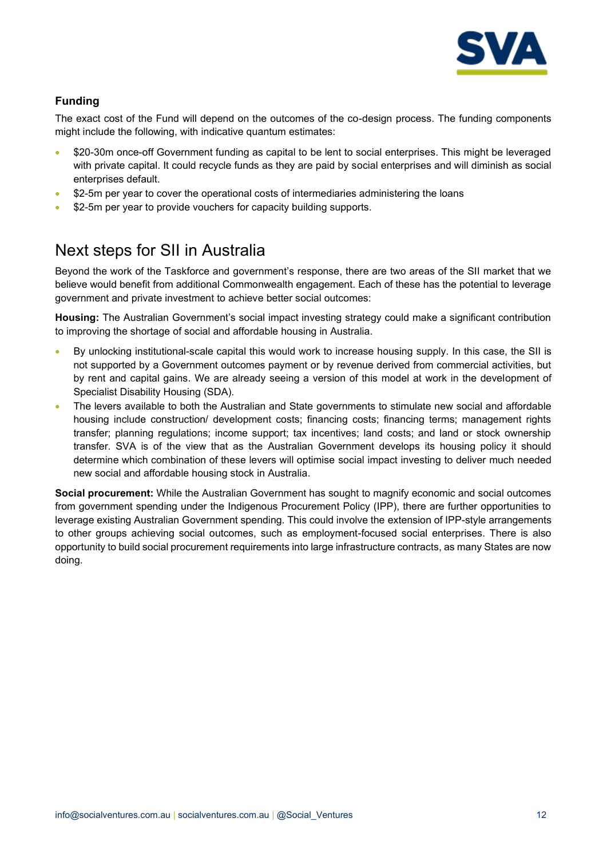

#### **Funding**

The exact cost of the Fund will depend on the outcomes of the co-design process. The funding components might include the following, with indicative quantum estimates:

- \$20-30m once-off Government funding as capital to be lent to social enterprises. This might be leveraged with private capital. It could recycle funds as they are paid by social enterprises and will diminish as social enterprises default.
- \$2-5m per year to cover the operational costs of intermediaries administering the loans
- \$2-5m per year to provide vouchers for capacity building supports.

### <span id="page-11-0"></span>Next steps for SII in Australia

Beyond the work of the Taskforce and government's response, there are two areas of the SII market that we believe would benefit from additional Commonwealth engagement. Each of these has the potential to leverage government and private investment to achieve better social outcomes:

**Housing:** The Australian Government's social impact investing strategy could make a significant contribution to improving the shortage of social and affordable housing in Australia.

- By unlocking institutional-scale capital this would work to increase housing supply. In this case, the SII is not supported by a Government outcomes payment or by revenue derived from commercial activities, but by rent and capital gains. We are already seeing a version of this model at work in the development of Specialist Disability Housing (SDA).
- The levers available to both the Australian and State governments to stimulate new social and affordable housing include construction/ development costs; financing costs; financing terms; management rights transfer; planning regulations; income support; tax incentives; land costs; and land or stock ownership transfer. SVA is of the view that as the Australian Government develops its housing policy it should determine which combination of these levers will optimise social impact investing to deliver much needed new social and affordable housing stock in Australia.

**Social procurement:** While the Australian Government has sought to magnify economic and social outcomes from government spending under the Indigenous Procurement Policy (IPP), there are further opportunities to leverage existing Australian Government spending. This could involve the extension of IPP-style arrangements to other groups achieving social outcomes, such as employment-focused social enterprises. There is also opportunity to build social procurement requirements into large infrastructure contracts, as many States are now doing.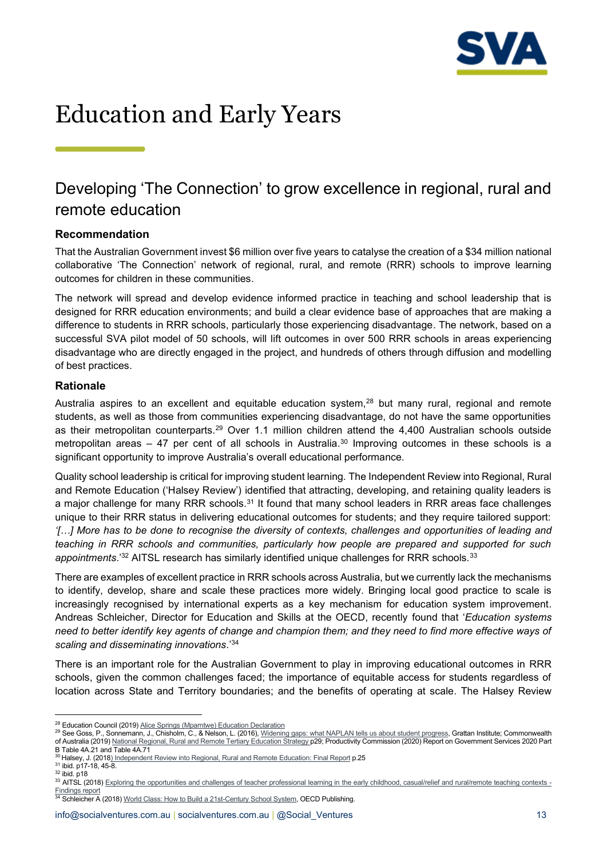

## <span id="page-12-0"></span>Education and Early Years

### <span id="page-12-1"></span>Developing 'The Connection' to grow excellence in regional, rural and remote education

#### **Recommendation**

That the Australian Government invest \$6 million over five years to catalyse the creation of a \$34 million national collaborative 'The Connection' network of regional, rural, and remote (RRR) schools to improve learning outcomes for children in these communities.

The network will spread and develop evidence informed practice in teaching and school leadership that is designed for RRR education environments; and build a clear evidence base of approaches that are making a difference to students in RRR schools, particularly those experiencing disadvantage. The network, based on a successful SVA pilot model of 50 schools, will lift outcomes in over 500 RRR schools in areas experiencing disadvantage who are directly engaged in the project, and hundreds of others through diffusion and modelling of best practices.

#### **Rationale**

Australia aspires to an excellent and equitable education system,<sup>28</sup> but many rural, regional and remote students, as well as those from communities experiencing disadvantage, do not have the same opportunities as their metropolitan counterparts.<sup>29</sup> Over 1.1 million children attend the 4,400 Australian schools outside metropolitan areas – 47 per cent of all schools in Australia.<sup>30</sup> Improving outcomes in these schools is a significant opportunity to improve Australia's overall educational performance.

Quality school leadership is critical for improving student learning. The Independent Review into Regional, Rural and Remote Education ('Halsey Review') identified that attracting, developing, and retaining quality leaders is a major challenge for many RRR schools.<sup>31</sup> It found that many school leaders in RRR areas face challenges unique to their RRR status in delivering educational outcomes for students; and they require tailored support: *'[…] More has to be done to recognise the diversity of contexts, challenges and opportunities of leading and teaching in RRR schools and communities, particularly how people are prepared and supported for such appointments*.'<sup>32</sup> AITSL research has similarly identified unique challenges for RRR schools.<sup>33</sup>

There are examples of excellent practice in RRR schools across Australia, but we currently lack the mechanisms to identify, develop, share and scale these practices more widely. Bringing local good practice to scale is increasingly recognised by international experts as a key mechanism for education system improvement. Andreas Schleicher, Director for Education and Skills at the OECD, recently found that '*Education systems need to better identify key agents of change and champion them; and they need to find more effective ways of scaling and disseminating innovations*.' 34

There is an important role for the Australian Government to play in improving educational outcomes in RRR schools, given the common challenges faced; the importance of equitable access for students regardless of location across State and Territory boundaries; and the benefits of operating at scale. The Halsey Review

29 See Goss, P., Sonnemann, J., Chisholm, C., & Nelson, L. (2016)[, Widening gaps: what NAPLAN tells us about student progress,](https://grattan.edu.au/report/widening-gaps/) Grattan Institute; Commonwealth of Australia (2019[\) National Regional, Rural and Remote Tertiary Education Strategy](https://docs.education.gov.au/system/files/doc/other/national_regional_rural_and_remote_tertiary_education_strategy.pdf) p29; Productivity Commission (2020) Report on Government Services 2020 Part B Table 4A.21 and Table 4A.71

 $31$  ibid. p17-18, 45-8.

<sup>&</sup>lt;sup>28</sup> Education Council (2019[\) Alice Springs \(Mparntwe\) Education Declaration](http://www.educationcouncil.edu.au/Alice-Springs--Mparntwe--Education-Declaration.asp)

<sup>30</sup> Halsey, J. (2018[\) Independent Review into Regional, Rural and Remote Education:](https://svaltd.sharepoint.com/sites/ReportssubmissionsPA/Shared%20Documents/2.%20Reports_Submissions/Submissions/Budget%20submissions/FY21-22%20Budget%20Submission/AITSL%20(2018)%20Exploring%20the%20opportunities%20and%20challenges%20of%20teacher%20professional%20learning%20in%20the%20early%20childhood,%20casual/relief%20and%20rural/remote%20teaching%20contexts%20-%20Findings%20report%20%20https:/www.aitsl.edu.au/docs/default-source/hqpl/hqpl-3-cohorts-findings-report---final.pdf) Final Report p.25

 $32$  ibid. p18 <sup>33</sup> AITSL (2018[\) Exploring the opportunities and challenges of teacher professional learning in](https://www.aitsl.edu.au/docs/default-source/hqpl/hqpl-3-cohorts-findings-report---final.pdf) the early childhood, casual/relief and rural/remote teaching contexts -[Findings report](https://www.aitsl.edu.au/docs/default-source/hqpl/hqpl-3-cohorts-findings-report---final.pdf) Findings report<br><sup>34</sup> Schleicher A (2018[\) World Class: How to Build a 21st-Century School System,](https://doi.org/10.1787/9789264300002-en) OECD Publishing.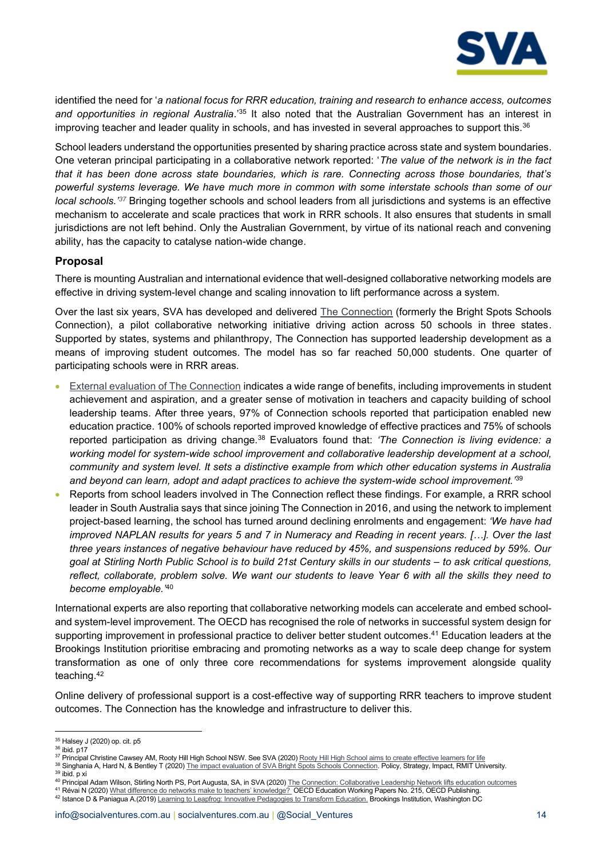

identified the need for '*a national focus for RRR education, training and research to enhance access, outcomes and opportunities in regional Australia*.'<sup>35</sup> It also noted that the Australian Government has an interest in improving teacher and leader quality in schools, and has invested in several approaches to support this.<sup>36</sup>

School leaders understand the opportunities presented by sharing practice across state and system boundaries. One veteran principal participating in a collaborative network reported: '*The value of the network is in the fact that it has been done across state boundaries, which is rare. Connecting across those boundaries, that's powerful systems leverage. We have much more in common with some interstate schools than some of our local schools.' <sup>37</sup>* Bringing together schools and school leaders from all jurisdictions and systems is an effective mechanism to accelerate and scale practices that work in RRR schools. It also ensures that students in small jurisdictions are not left behind. Only the Australian Government, by virtue of its national reach and convening ability, has the capacity to catalyse nation-wide change.

#### **Proposal**

There is mounting Australian and international evidence that well-designed collaborative networking models are effective in driving system-level change and scaling innovation to lift performance across a system.

Over the last six years, SVA has developed and delivered [The Connection](https://www.socialventures.com.au/education/the-sva-bright-spots-schools-connection/) (formerly the Bright Spots Schools Connection), a pilot collaborative networking initiative driving action across 50 schools in three states. Supported by states, systems and philanthropy, The Connection has supported leadership development as a means of improving student outcomes. The model has so far reached 50,000 students. One quarter of participating schools were in RRR areas.

- [External evaluation of The Connection](https://www.socialventures.com.au/work/the-connection-collaborative-leadership-network-lifts-education-outcomes/#box_section_1) indicates a wide range of benefits, including improvements in student achievement and aspiration, and a greater sense of motivation in teachers and capacity building of school leadership teams. After three years, 97% of Connection schools reported that participation enabled new education practice. 100% of schools reported improved knowledge of effective practices and 75% of schools reported participation as driving change.<sup>38</sup> Evaluators found that: *'The Connection is living evidence: a working model for system-wide school improvement and collaborative leadership development at a school, community and system level. It sets a distinctive example from which other education systems in Australia and beyond can learn, adopt and adapt practices to achieve the system-wide school improvement.'*<sup>39</sup>
- Reports from school leaders involved in The Connection reflect these findings. For example, a RRR school leader in South Australia says that since joining The Connection in 2016, and using the network to implement project-based learning, the school has turned around declining enrolments and engagement: *'We have had improved NAPLAN results for years 5 and 7 in Numeracy and Reading in recent years. […]. Over the last three years instances of negative behaviour have reduced by 45%, and suspensions reduced by 59%. Our goal at Stirling North Public School is to build 21st Century skills in our students - to ask critical questions, reflect, collaborate, problem solve. We want our students to leave Year 6 with all the skills they need to become employable.'*<sup>40</sup>

International experts are also reporting that collaborative networking models can accelerate and embed schooland system-level improvement. The OECD has recognised the role of networks in successful system design for supporting improvement in professional practice to deliver better student outcomes.<sup>41</sup> Education leaders at the Brookings Institution prioritise embracing and promoting networks as a way to scale deep change for system transformation as one of only three core recommendations for systems improvement alongside quality teaching.<sup>42</sup>

Online delivery of professional support is a cost-effective way of supporting RRR teachers to improve student outcomes. The Connection has the knowledge and infrastructure to deliver this.

<sup>35</sup> Halsey J (2020) op. cit. p5

<sup>36</sup> ibid. p17

<sup>37</sup> Principal Christine Cawsey AM, Rooty Hill High School NSW. See SVA (2020[\) Rooty Hill High School aims to create effective learners for life](https://www.socialventures.com.au/assets/SVA-case-study-RootyHill-v3.pdf)

<sup>&</sup>lt;sup>38</sup> Singhania A, Hard N, & Bentley T (2020[\) The impact evaluation of SVA Bright Spots Schools Connection.](https://apo.org.au/node/308693) Policy, Strategy, Impact, RMIT University. <sup>39</sup> ibid. p xi

<sup>&</sup>lt;sup>40</sup> Principal Adam Wilson, Stirling North PS, Port Augusta, SA, in SVA (2020[\) The Connection: Collaborative Leadership Network lifts education outcomes](https://www.socialventures.com.au/work/the-connection-collaborative-leadership-network-lifts-education-outcomes/#box_section_1)

<sup>&</sup>lt;sup>41</sup> Révai N (2020) [What difference do networks make to teachers' knowledge?](https://doi.org/10.1787/75f11091-en) OECD Education Working Papers No. 215, OECD Publishing. <sup>42</sup> Istance D & Paniagua A.(2019[\) Learning to Leapfrog: Innovative Pedagogies to Transform Education.](https://www.brookings.edu/research/learning-to-leapfrog/) Brookings Institution, Washington DC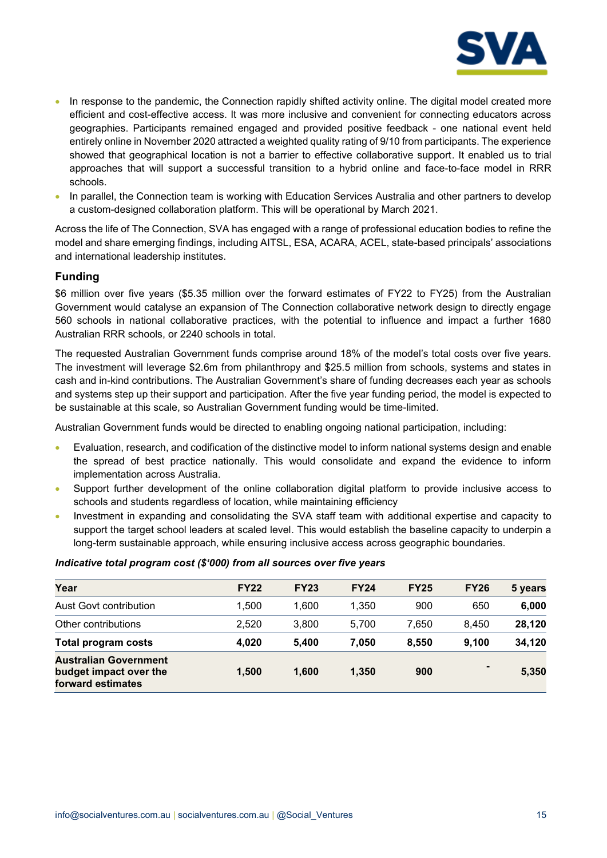

- In response to the pandemic, the Connection rapidly shifted activity online. The digital model created more efficient and cost-effective access. It was more inclusive and convenient for connecting educators across geographies. Participants remained engaged and provided positive feedback - one national event held entirely online in November 2020 attracted a weighted quality rating of 9/10 from participants. The experience showed that geographical location is not a barrier to effective collaborative support. It enabled us to trial approaches that will support a successful transition to a hybrid online and face-to-face model in RRR schools.
- In parallel, the Connection team is working with Education Services Australia and other partners to develop a custom-designed collaboration platform. This will be operational by March 2021.

Across the life of The Connection, SVA has engaged with a range of professional education bodies to refine the model and share emerging findings, including AITSL, ESA, ACARA, ACEL, state-based principals' associations and international leadership institutes.

#### **Funding**

\$6 million over five years (\$5.35 million over the forward estimates of FY22 to FY25) from the Australian Government would catalyse an expansion of The Connection collaborative network design to directly engage 560 schools in national collaborative practices, with the potential to influence and impact a further 1680 Australian RRR schools, or 2240 schools in total.

The requested Australian Government funds comprise around 18% of the model's total costs over five years. The investment will leverage \$2.6m from philanthropy and \$25.5 million from schools, systems and states in cash and in-kind contributions. The Australian Government's share of funding decreases each year as schools and systems step up their support and participation. After the five year funding period, the model is expected to be sustainable at this scale, so Australian Government funding would be time-limited.

Australian Government funds would be directed to enabling ongoing national participation, including:

- Evaluation, research, and codification of the distinctive model to inform national systems design and enable the spread of best practice nationally. This would consolidate and expand the evidence to inform implementation across Australia.
- Support further development of the online collaboration digital platform to provide inclusive access to schools and students regardless of location, while maintaining efficiency
- Investment in expanding and consolidating the SVA staff team with additional expertise and capacity to support the target school leaders at scaled level. This would establish the baseline capacity to underpin a long-term sustainable approach, while ensuring inclusive access across geographic boundaries.

|  |  | Indicative total program cost (\$'000) from all sources over five years |
|--|--|-------------------------------------------------------------------------|
|--|--|-------------------------------------------------------------------------|

| Year                                                                        | <b>FY22</b> | <b>FY23</b> | <b>FY24</b> | <b>FY25</b> | <b>FY26</b> | 5 years |
|-----------------------------------------------------------------------------|-------------|-------------|-------------|-------------|-------------|---------|
| Aust Govt contribution                                                      | 1.500       | 1.600       | 1.350       | 900         | 650         | 6,000   |
| Other contributions                                                         | 2.520       | 3.800       | 5.700       | 7.650       | 8.450       | 28,120  |
| <b>Total program costs</b>                                                  | 4.020       | 5.400       | 7.050       | 8.550       | 9.100       | 34,120  |
| <b>Australian Government</b><br>budget impact over the<br>forward estimates | 1.500       | 1.600       | 1,350       | 900         |             | 5,350   |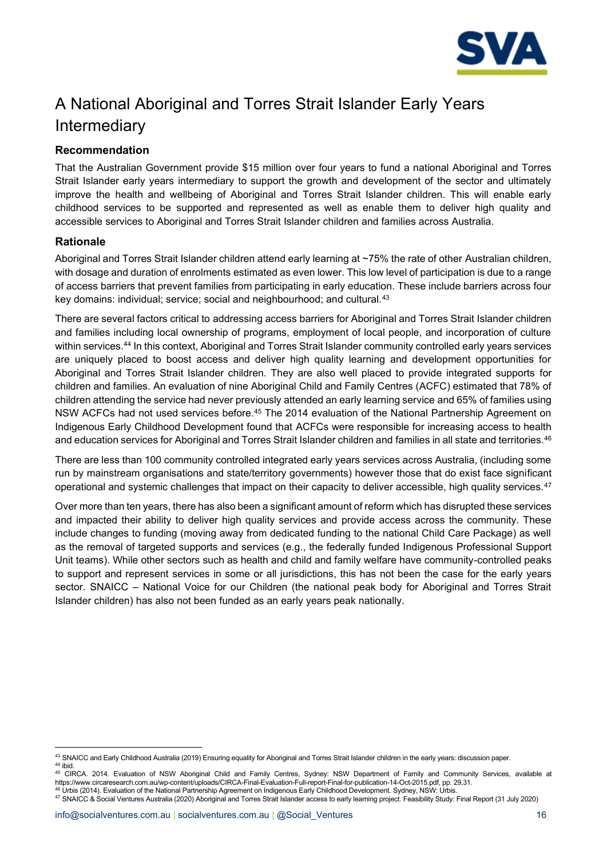

## <span id="page-15-0"></span>A National Aboriginal and Torres Strait Islander Early Years Intermediary

#### **Recommendation**

That the Australian Government provide \$15 million over four years to fund a national Aboriginal and Torres Strait Islander early years intermediary to support the growth and development of the sector and ultimately improve the health and wellbeing of Aboriginal and Torres Strait Islander children. This will enable early childhood services to be supported and represented as well as enable them to deliver high quality and accessible services to Aboriginal and Torres Strait Islander children and families across Australia.

#### **Rationale**

Aboriginal and Torres Strait Islander children attend early learning at ~75% the rate of other Australian children, with dosage and duration of enrolments estimated as even lower. This low level of participation is due to a range of access barriers that prevent families from participating in early education. These include barriers across four key domains: individual; service; social and neighbourhood; and cultural.<sup>43</sup>

There are several factors critical to addressing access barriers for Aboriginal and Torres Strait Islander children and families including local ownership of programs, employment of local people, and incorporation of culture within services.<sup>44</sup> In this context, Aboriginal and Torres Strait Islander community controlled early years services are uniquely placed to boost access and deliver high quality learning and development opportunities for Aboriginal and Torres Strait Islander children. They are also well placed to provide integrated supports for children and families. An evaluation of nine Aboriginal Child and Family Centres (ACFC) estimated that 78% of children attending the service had never previously attended an early learning service and 65% of families using NSW ACFCs had not used services before.<sup>45</sup> The 2014 evaluation of the National Partnership Agreement on Indigenous Early Childhood Development found that ACFCs were responsible for increasing access to health and education services for Aboriginal and Torres Strait Islander children and families in all state and territories.<sup>46</sup>

There are less than 100 community controlled integrated early years services across Australia, (including some run by mainstream organisations and state/territory governments) however those that do exist face significant operational and systemic challenges that impact on their capacity to deliver accessible, high quality services.<sup>47</sup>

Over more than ten years, there has also been a significant amount of reform which has disrupted these services and impacted their ability to deliver high quality services and provide access across the community. These include changes to funding (moving away from dedicated funding to the national Child Care Package) as well as the removal of targeted supports and services (e.g., the federally funded Indigenous Professional Support Unit teams). While other sectors such as health and child and family welfare have community-controlled peaks to support and represent services in some or all jurisdictions, this has not been the case for the early years sector. SNAICC – National Voice for our Children (the national peak body for Aboriginal and Torres Strait Islander children) has also not been funded as an early years peak nationally.

<sup>43</sup> SNAICC and Early Childhood Australia (2019) Ensuring equality for Aboriginal and Torres Strait Islander children in the early years: discussion paper. <sup>44</sup> ibid.

<sup>45</sup> CIRCA. 2014. Evaluation of NSW Aboriginal Child and Family Centres, Sydney: NSW Department of Family and Community Services, available at https://www.circaresearch.com.au/wp-content/uploads/CIRCA-Final-Evaluation-Full-report-Final-for-publication-14-Oct-2015.pdf, pp. 29,31. <sup>46</sup> Urbis (2014). Evaluation of the National Partnership Agreement on Indigenous Early Childhood Development*.* Sydney, NSW: Urbis.

<sup>47</sup> SNAICC & Social Ventures Australia (2020) Aboriginal and Torres Strait Islander access to early learning project. Feasibility Study: Final Report (31 July 2020)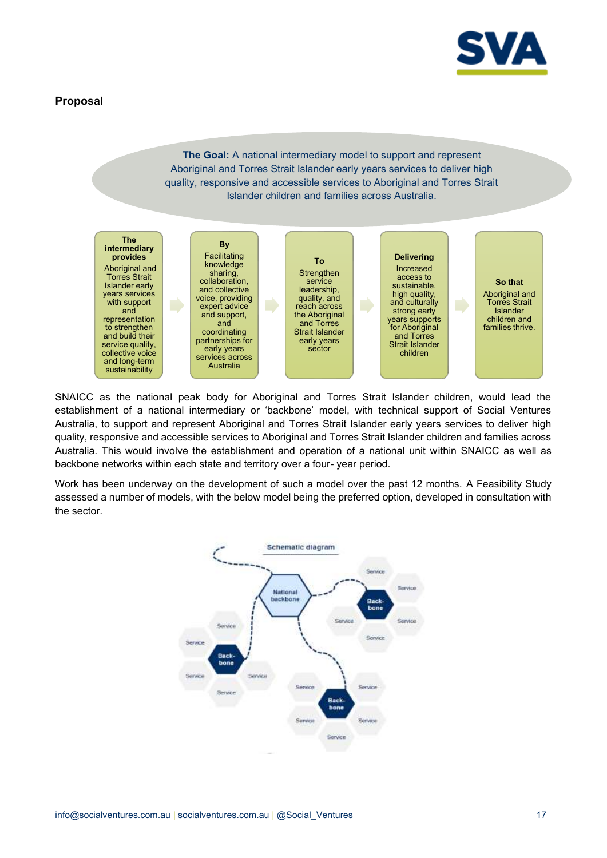

#### **Proposal**

#### **The Goal:** A national intermediary model to support and represent Aboriginal and Torres Strait Islander early years services to deliver high quality, responsive and accessible services to Aboriginal and Torres Strait Islander children and families across Australia.



SNAICC as the national peak body for Aboriginal and Torres Strait Islander children, would lead the establishment of a national intermediary or 'backbone' model, with technical support of Social Ventures Australia, to support and represent Aboriginal and Torres Strait Islander early years services to deliver high quality, responsive and accessible services to Aboriginal and Torres Strait Islander children and families across Australia. This would involve the establishment and operation of a national unit within SNAICC as well as backbone networks within each state and territory over a four- year period.

Work has been underway on the development of such a model over the past 12 months. A Feasibility Study assessed a number of models, with the below model being the preferred option, developed in consultation with the sector.

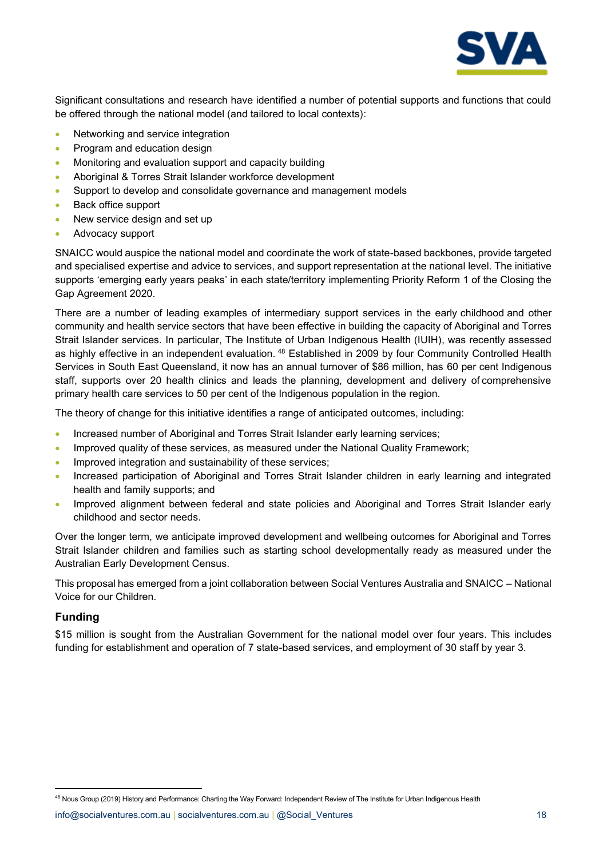

Significant consultations and research have identified a number of potential supports and functions that could be offered through the national model (and tailored to local contexts):

- Networking and service integration
- Program and education design
- Monitoring and evaluation support and capacity building
- Aboriginal & Torres Strait Islander workforce development
- Support to develop and consolidate governance and management models
- Back office support
- New service design and set up
- Advocacy support

SNAICC would auspice the national model and coordinate the work of state-based backbones, provide targeted and specialised expertise and advice to services, and support representation at the national level. The initiative supports 'emerging early years peaks' in each state/territory implementing Priority Reform 1 of the Closing the Gap Agreement 2020.

There are a number of leading examples of intermediary support services in the early childhood and other community and health service sectors that have been effective in building the capacity of Aboriginal and Torres Strait Islander services. In particular, The Institute of Urban Indigenous Health (IUIH), was recently assessed as highly effective in an independent evaluation. <sup>48</sup> Established in 2009 by four Community Controlled Health Services in South East Queensland, it now has an annual turnover of \$86 million, has 60 per cent Indigenous staff, supports over 20 health clinics and leads the planning, development and delivery of comprehensive primary health care services to 50 per cent of the Indigenous population in the region.

The theory of change for this initiative identifies a range of anticipated outcomes, including:

- Increased number of Aboriginal and Torres Strait Islander early learning services;
- Improved quality of these services, as measured under the National Quality Framework;
- Improved integration and sustainability of these services;
- Increased participation of Aboriginal and Torres Strait Islander children in early learning and integrated health and family supports; and
- Improved alignment between federal and state policies and Aboriginal and Torres Strait Islander early childhood and sector needs.

Over the longer term, we anticipate improved development and wellbeing outcomes for Aboriginal and Torres Strait Islander children and families such as starting school developmentally ready as measured under the Australian Early Development Census.

This proposal has emerged from a joint collaboration between Social Ventures Australia and SNAICC – National Voice for our Children.

#### **Funding**

\$15 million is sought from the Australian Government for the national model over four years. This includes funding for establishment and operation of 7 state-based services, and employment of 30 staff by year 3.

[info@socialventures.com.au](mailto:info@socialventures.com.au) | socialventures.com.au | @Social Ventures 18

<sup>&</sup>lt;sup>48</sup> Nous Group (2019) History and Performance: Charting the Way Forward: Independent Review of The Institute for Urban Indigenous Health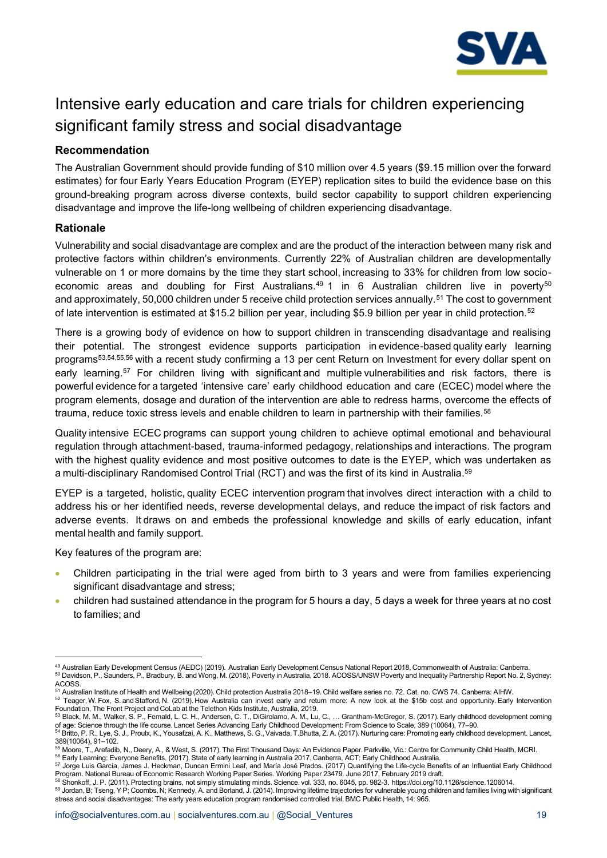

## <span id="page-18-0"></span>Intensive early education and care trials for children experiencing significant family stress and social disadvantage

#### **Recommendation**

The Australian Government should provide funding of \$10 million over 4.5 years (\$9.15 million over the forward estimates) for four Early Years Education Program (EYEP) replication sites to build the evidence base on this ground-breaking program across diverse contexts, build sector capability to support children experiencing disadvantage and improve the life-long wellbeing of children experiencing disadvantage.

#### **Rationale**

Vulnerability and social disadvantage are complex and are the product of the interaction between many risk and protective factors within children's environments. Currently 22% of Australian children are developmentally vulnerable on 1 or more domains by the time they start school, increasing to 33% for children from low socioeconomic areas and doubling for First Australians.<sup>49</sup> 1 in 6 Australian children live in poverty<sup>50</sup> and approximately, 50,000 children under 5 receive child protection services annually.<sup>51</sup> The cost to government of late intervention is estimated at \$15.2 billion per year, including \$5.9 billion per year in child protection.<sup>52</sup>

There is a growing body of evidence on how to support children in transcending disadvantage and realising their potential. The strongest evidence supports participation in evidence-based quality early learning programs53,54,55,56 with a recent study confirming a 13 per cent Return on Investment for every dollar spent on early learning.<sup>57</sup> For children living with significant and multiple vulnerabilities and risk factors, there is powerful evidence for a targeted 'intensive care' early childhood education and care (ECEC) model where the program elements, dosage and duration of the intervention are able to redress harms, overcome the effects of trauma, reduce toxic stress levels and enable children to learn in partnership with their families.<sup>58</sup>

Quality intensive ECEC programs can support young children to achieve optimal emotional and behavioural regulation through attachment-based, trauma-informed pedagogy, relationships and interactions. The program with the highest quality evidence and most positive outcomes to date is the EYEP, which was undertaken as a multi-disciplinary Randomised Control Trial (RCT) and was the first of its kind in Australia. 59

EYEP is a targeted, holistic, quality ECEC intervention program that involves direct interaction with a child to address his or her identified needs, reverse developmental delays, and reduce the impact of risk factors and adverse events.  It draws on and embeds the professional knowledge and skills of early education, infant mental health and family support. 

Key features of the program are:   

- Children participating in the trial were aged from birth to 3 years and were from families experiencing significant disadvantage and stress;
- children had sustained attendance in the program for 5 hours a day, 5 days a week for three years at no cost to families; and

<sup>49</sup> Australian Early Development Census (AEDC) (2019).  Australian Early Development Census National Report 2018, Commonwealth of Australia: Canberra.   <sup>50</sup> Davidson, P., Saunders, P., Bradbury, B. and Wong, M. (2018), Poverty in Australia, 2018. ACOSS/UNSW Poverty and Inequality Partnership Report No. 2, Sydney: ACOSS.<br><sup>51</sup> Australian Institute of Health and Wellbeing (2020). Child protection Australia 2018–19. Child welfare series no. 72. Cat. no. CWS 74. Canberra: AIHW.

<sup>52</sup> Teager, W. Fox, S. and Stafford, N. (2019). How Australia can invest early and return more: A new look at the \$15b cost and opportunity. Early Intervention

Foundation, The Front Project and CoLab at the Telethon Kids Institute, Australia, 2019.<br><sup>53</sup> Black, M. M., Walker, S. P., Fernald, L. C. H., Andersen, C. T., DiGirolamo, A. M., Lu, C., … Grantham-McGregor, S. (2017). Earl

of age: Science through the life course. Lancet Series Advancing Early Childhood Development: From Science to Scale, 389 (10064), 77–90.    <sup>54</sup> Britto, P. R., Lye, S. J., Proulx, K., Yousafzai, A. K., Matthews, S. G., Vaivada, T.Bhutta, Z. A. (2017). Nurturing care: Promoting early childhood development. Lancet,

<sup>389(10064), 91</sup>–102.   

<sup>55</sup> Moore, T., Arefadib, N., Deery, A., & West, S. (2017). The First Thousand Days: An Evidence Paper. Parkville, Vic.: Centre for Community Child Health, MCRI.   <sup>56</sup> Early Learning: Everyone Benefits. (2017). State of early learning in Australia 2017. Canberra, ACT: Early Childhood Australia.   

<sup>&</sup>lt;sup>57</sup> Jorge Luis García, James J. Heckman, Duncan Ermini Leaf, and María José Prados. (2017) Quantifying the Life-cycle Benefits of an Influential Early Childhood Program. National Bureau of Economic Research Working Paper Series. Working Paper 23479. June 2017, February 2019 draft.<br><sup>58</sup> Shonkoff, J. P. (2011). Protecting brains, not simply stimulating minds. Science. vol. 333, no.

<sup>59</sup> Jordan, B; Tseng, Y P; Coombs, N; Kennedy, A. and Borland, J. (2014). Improving lifetime trajectories for vulnerable young children and families living with significant stress and social disadvantages: The early years education program randomised controlled trial. BMC Public Health, 14: 965.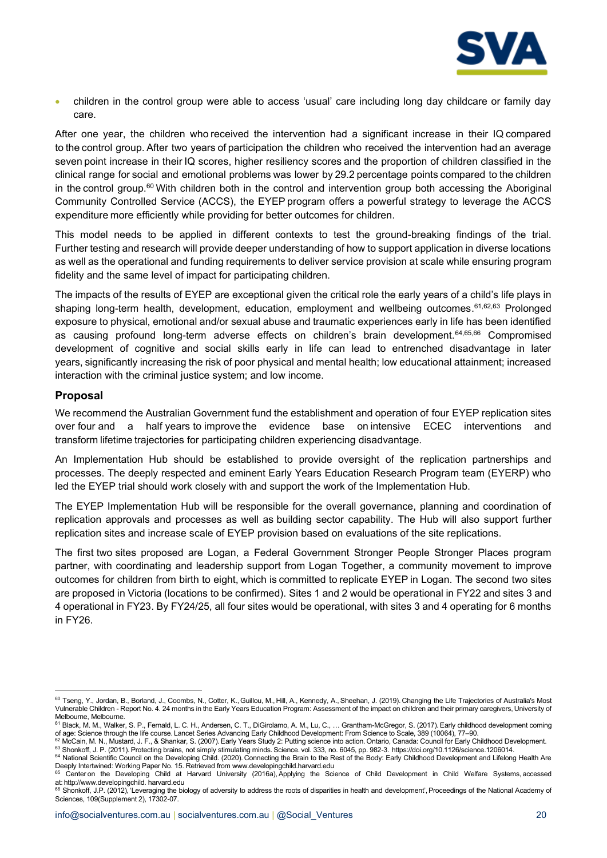

• children in the control group were able to access 'usual' care including long day childcare or family day care. 

After one year, the children who received the intervention had a significant increase in their IQ compared to the control group. After two years of participation the children who received the intervention had an average seven point increase in their IQ scores, higher resiliency scores and the proportion of children classified in the clinical range for social and emotional problems was lower by 29.2 percentage points compared to the children in the control group.<sup>60</sup> With children both in the control and intervention group both accessing the Aboriginal Community Controlled Service (ACCS), the EYEP program offers a powerful strategy to leverage the ACCS expenditure more efficiently while providing for better outcomes for children.  

This model needs to be applied in different contexts to test the ground-breaking findings of the trial. Further testing and research will provide deeper understanding of how to support application in diverse locations as well as the operational and funding requirements to deliver service provision at scale while ensuring program fidelity and the same level of impact for participating children. 

The impacts of the results of EYEP are exceptional given the critical role the early years of a child's life plays in shaping long-term health, development, education, employment and wellbeing outcomes. 61,62,63 Prolonged exposure to physical, emotional and/or sexual abuse and traumatic experiences early in life has been identified as causing profound long-term adverse effects on children's brain development.64,65,66 Compromised development of cognitive and social skills early in life can lead to entrenched disadvantage in later years, significantly increasing the risk of poor physical and mental health; low educational attainment; increased interaction with the criminal justice system; and low income.

#### **Proposal**

We recommend the Australian Government fund the establishment and operation of four EYEP replication sites over four and a half years to improve the evidence base on intensive ECEC interventions and transform lifetime trajectories for participating children experiencing disadvantage.

An Implementation Hub should be established to provide oversight of the replication partnerships and processes. The deeply respected and eminent Early Years Education Research Program team (EYERP) who led the EYEP trial should work closely with and support the work of the Implementation Hub.

The EYEP Implementation Hub will be responsible for the overall governance, planning and coordination of replication approvals and processes as well as building sector capability. The Hub will also support further replication sites and increase scale of EYEP provision based on evaluations of the site replications.

The first two sites proposed are Logan, a Federal Government Stronger People Stronger Places program partner, with coordinating and leadership support from Logan Together, a community movement to improve outcomes for children from birth to eight, which is committed to replicate EYEP in Logan. The second two sites are proposed in Victoria (locations to be confirmed). Sites 1 and 2 would be operational in FY22 and sites 3 and 4 operational in FY23. By FY24/25, all four sites would be operational, with sites 3 and 4 operating for 6 months in FY26.

<sup>60</sup> Tseng, Y., Jordan, B., Borland, J., Coombs, N., Cotter, K., Guillou, M., Hill, A., Kennedy, A., Sheehan, J. (2019). Changing the Life Trajectories of Australia's Most Vulnerable Children - Report No. 4. 24 months in the Early Years Education Program: Assessment of the impact on children and their primary caregivers, University of

Melbourne, Melbourne.<br><sup>61</sup> Black, M. M., Walker, S. P., Fernald, L. C. H., Andersen, C. T., DiGirolamo, A. M., Lu, C., … Grantham-McGregor, S. (2017). Early childhood development coming of age: Science through the life course. Lancet Series Advancing Early Childhood Development: From Science to Scale, 389 (10064), 77–90.   

<sup>62</sup> McCain, M. N., Mustard, J. F., & Shankar, S. (2007). Early Years Study 2: Putting science into action. Ontario, Canada: Council for Early Childhood Development.   63 Shonkoff, J. P. (2011). Protecting brains, not simply stimulating minds. Science. vol. 333, no. 6045, pp. 982-3. https://doi.org/10.1126/science.1206014.

<sup>64</sup> National Scientific Council on the Developing Child. (2020). Connecting the Brain to the Rest of the Body: Early Childhood Development and Lifelong Health Are Deeply Intertwined: Working Paper No. 15. Retrieved from www.developingchild.harvard.edu

<sup>&</sup>lt;sup>65</sup> Center on the Developing Child at Harvard University (2016a), Applying the Science of Child Development in Child Welfare Systems, accessed at: http://www.developingchild. harvard.edu<br><sup>66</sup> Shonkoff, J.P. (2012), 'Leveraging the biology of adversity to address the roots of disparities in health and development', Proceedings of the National Academy of

Sciences, 109(Supplement 2), 17302-07.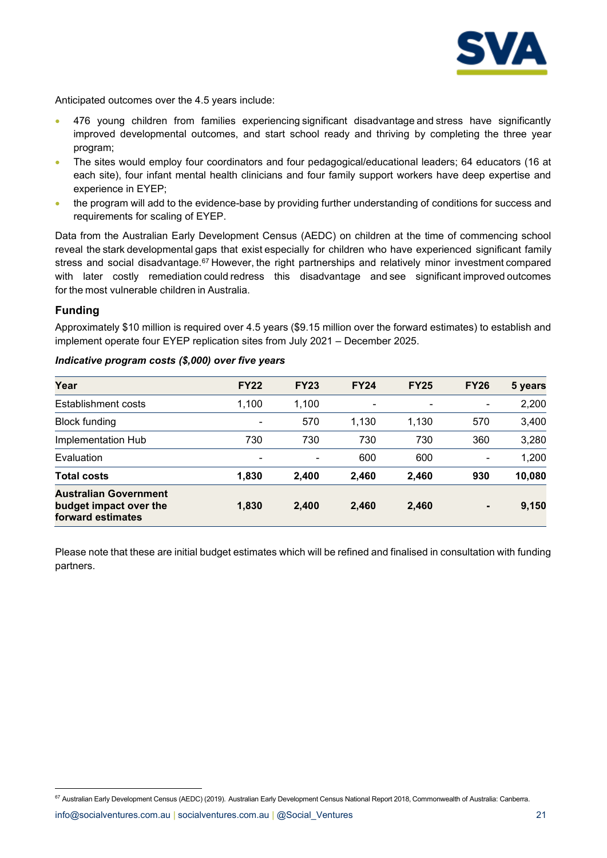

Anticipated outcomes over the 4.5 years include:

- 476 young children from families experiencing significant disadvantage and stress have significantly improved developmental outcomes, and start school ready and thriving by completing the three year program;
- The sites would employ four coordinators and four pedagogical/educational leaders; 64 educators (16 at each site), four infant mental health clinicians and four family support workers have deep expertise and experience in EYEP;
- the program will add to the evidence-base by providing further understanding of conditions for success and requirements for scaling of EYEP.

Data from the Australian Early Development Census (AEDC) on children at the time of commencing school reveal the stark developmental gaps that exist especially for children who have experienced significant family stress and social disadvantage.<sup>67</sup> However, the right partnerships and relatively minor investment compared with later costly remediation could redress this disadvantage and see significant improved outcomes for the most vulnerable children in Australia.

#### **Funding**

Approximately \$10 million is required over 4.5 years (\$9.15 million over the forward estimates) to establish and implement operate four EYEP replication sites from July 2021 – December 2025.

| Year                                                                        | <b>FY22</b> | <b>FY23</b> | <b>FY24</b>              | <b>FY25</b> | <b>FY26</b>    | 5 years |
|-----------------------------------------------------------------------------|-------------|-------------|--------------------------|-------------|----------------|---------|
| Establishment costs                                                         | 1,100       | 1,100       | $\overline{\phantom{a}}$ |             |                | 2,200   |
| <b>Block funding</b>                                                        | -           | 570         | 1,130                    | 1,130       | 570            | 3,400   |
| Implementation Hub                                                          | 730         | 730         | 730                      | 730         | 360            | 3,280   |
| Evaluation                                                                  | -           |             | 600                      | 600         |                | 1,200   |
| <b>Total costs</b>                                                          | 1,830       | 2,400       | 2,460                    | 2,460       | 930            | 10,080  |
| <b>Australian Government</b><br>budget impact over the<br>forward estimates | 1,830       | 2,400       | 2,460                    | 2,460       | $\blacksquare$ | 9,150   |

#### *Indicative program costs (\$,000) over five years*

Please note that these are initial budget estimates which will be refined and finalised in consultation with funding partners.

[info@socialventures.com.au](mailto:info@socialventures.com.au) | socialventures.com.au | @Social\_Ventures 21 <sup>67</sup> Australian Early Development Census (AEDC) (2019).  Australian Early Development Census National Report 2018, Commonwealth of Australia: Canberra.